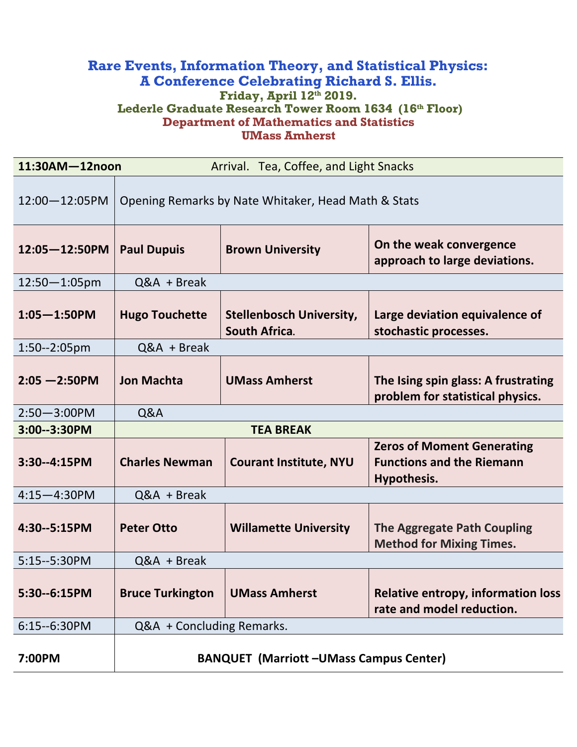#### **Rare Events, Information Theory, and Statistical Physics: A Conference Celebrating Richard S. Ellis. Friday, April 12th 2019. Lederle Graduate Research Tower Room 1634 (16th Floor) Department of Mathematics and Statistics UMass Amherst**

| 11:30AM-12noon<br>Arrival. Tea, Coffee, and Light Snacks |                                                     |                                                         |                                                                                      |
|----------------------------------------------------------|-----------------------------------------------------|---------------------------------------------------------|--------------------------------------------------------------------------------------|
| 12:00-12:05PM                                            | Opening Remarks by Nate Whitaker, Head Math & Stats |                                                         |                                                                                      |
| $12:05 - 12:50$ PM                                       | <b>Paul Dupuis</b>                                  | <b>Brown University</b>                                 | On the weak convergence<br>approach to large deviations.                             |
| $12:50 - 1:05$ pm                                        | $Q&A + B$ reak                                      |                                                         |                                                                                      |
| $1:05 - 1:50$ PM                                         | <b>Hugo Touchette</b>                               | <b>Stellenbosch University,</b><br><b>South Africa.</b> | Large deviation equivalence of<br>stochastic processes.                              |
| 1:50--2:05pm                                             | $Q&A + B$ reak                                      |                                                         |                                                                                      |
| $2:05 - 2:50$ PM                                         | <b>Jon Machta</b>                                   | <b>UMass Amherst</b>                                    | The Ising spin glass: A frustrating<br>problem for statistical physics.              |
| $2:50 - 3:00$ PM                                         | Q&A                                                 |                                                         |                                                                                      |
| 3:00--3:30PM                                             | <b>TEA BREAK</b>                                    |                                                         |                                                                                      |
| 3:30--4:15PM                                             | <b>Charles Newman</b>                               | <b>Courant Institute, NYU</b>                           | <b>Zeros of Moment Generating</b><br><b>Functions and the Riemann</b><br>Hypothesis. |
| $4:15 - 4:30$ PM                                         | Q&A + Break                                         |                                                         |                                                                                      |
| 4:30--5:15PM                                             | <b>Peter Otto</b>                                   | <b>Willamette University</b>                            | <b>The Aggregate Path Coupling</b><br><b>Method for Mixing Times.</b>                |
| 5:15--5:30PM                                             | $Q&A + B$ reak                                      |                                                         |                                                                                      |
| 5:30--6:15PM                                             | <b>Bruce Turkington</b>                             | <b>UMass Amherst</b>                                    | <b>Relative entropy, information loss</b><br>rate and model reduction.               |
| 6:15--6:30PM                                             | Q&A + Concluding Remarks.                           |                                                         |                                                                                      |
| 7:00PM                                                   | <b>BANQUET (Marriott-UMass Campus Center)</b>       |                                                         |                                                                                      |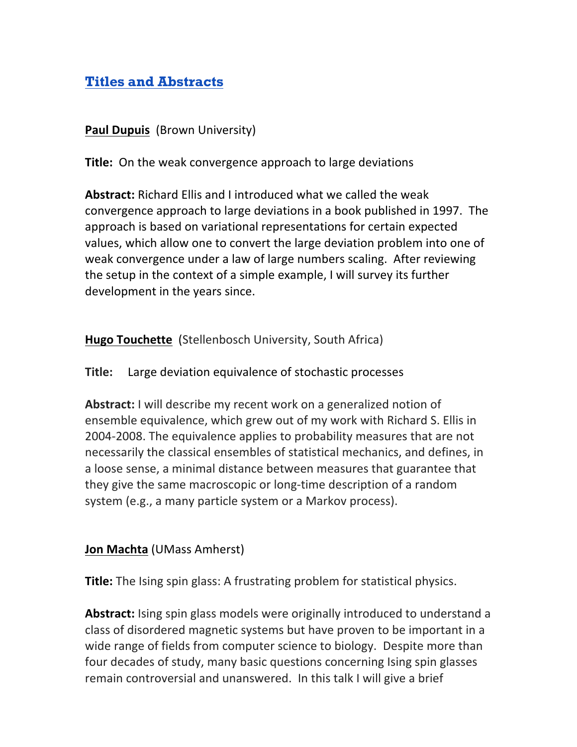# **Titles and Abstracts**

**Paul Dupuis** (Brown University)

**Title:** On the weak convergence approach to large deviations

**Abstract:** Richard Ellis and I introduced what we called the weak convergence approach to large deviations in a book published in 1997. The approach is based on variational representations for certain expected values, which allow one to convert the large deviation problem into one of weak convergence under a law of large numbers scaling. After reviewing the setup in the context of a simple example, I will survey its further development in the years since.

**Hugo Touchette** (Stellenbosch University, South Africa)

**Title:** Large deviation equivalence of stochastic processes

**Abstract:** I will describe my recent work on a generalized notion of ensemble equivalence, which grew out of my work with Richard S. Ellis in 2004-2008. The equivalence applies to probability measures that are not necessarily the classical ensembles of statistical mechanics, and defines, in a loose sense, a minimal distance between measures that guarantee that they give the same macroscopic or long-time description of a random system (e.g., a many particle system or a Markov process).

### **Jon Machta** (UMass Amherst)

**Title:** The Ising spin glass: A frustrating problem for statistical physics.

**Abstract:** Ising spin glass models were originally introduced to understand a class of disordered magnetic systems but have proven to be important in a wide range of fields from computer science to biology. Despite more than four decades of study, many basic questions concerning Ising spin glasses remain controversial and unanswered. In this talk I will give a brief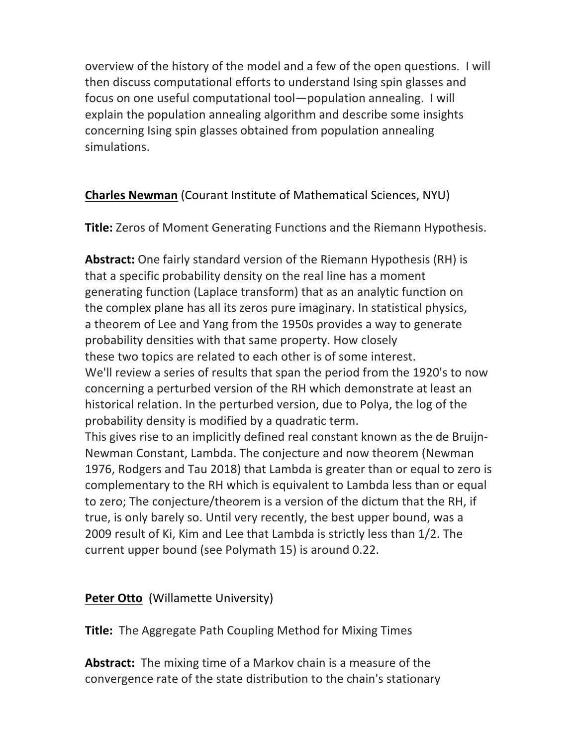overview of the history of the model and a few of the open questions. I will then discuss computational efforts to understand Ising spin glasses and focus on one useful computational tool—population annealing. I will explain the population annealing algorithm and describe some insights concerning Ising spin glasses obtained from population annealing simulations.

## **Charles Newman** (Courant Institute of Mathematical Sciences, NYU)

**Title:** Zeros of Moment Generating Functions and the Riemann Hypothesis.

**Abstract:** One fairly standard version of the Riemann Hypothesis (RH) is that a specific probability density on the real line has a moment generating function (Laplace transform) that as an analytic function on the complex plane has all its zeros pure imaginary. In statistical physics, a theorem of Lee and Yang from the 1950s provides a way to generate probability densities with that same property. How closely these two topics are related to each other is of some interest. We'll review a series of results that span the period from the 1920's to now concerning a perturbed version of the RH which demonstrate at least an historical relation. In the perturbed version, due to Polya, the log of the probability density is modified by a quadratic term. This gives rise to an implicitly defined real constant known as the de Bruijn-Newman Constant, Lambda. The conjecture and now theorem (Newman 1976, Rodgers and Tau 2018) that Lambda is greater than or equal to zero is complementary to the RH which is equivalent to Lambda less than or equal to zero; The conjecture/theorem is a version of the dictum that the RH, if true, is only barely so. Until very recently, the best upper bound, was a 2009 result of Ki, Kim and Lee that Lambda is strictly less than 1/2. The

current upper bound (see Polymath 15) is around 0.22.

### **Peter Otto** (Willamette University)

**Title:** The Aggregate Path Coupling Method for Mixing Times

**Abstract:** The mixing time of a Markov chain is a measure of the convergence rate of the state distribution to the chain's stationary